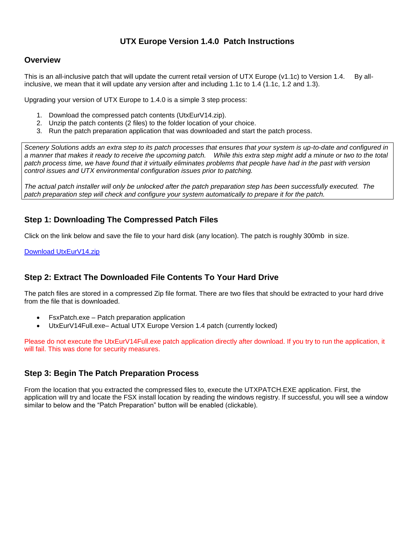## **UTX Europe Version 1.4.0 Patch Instructions**

#### **Overview**

This is an all-inclusive patch that will update the current retail version of UTX Europe (v1.1c) to Version 1.4. By allinclusive, we mean that it will update any version after and including 1.1c to 1.4 (1.1c, 1.2 and 1.3).

Upgrading your version of UTX Europe to 1.4.0 is a simple 3 step process:

- 1. Download the compressed patch contents (UtxEurV14.zip).
- 2. Unzip the patch contents (2 files) to the folder location of your choice.
- 3. Run the patch preparation application that was downloaded and start the patch process.

*Scenery Solutions adds an extra step to its patch processes that ensures that your system is up-to-date and configured in a manner that makes it ready to receive the upcoming patch. While this extra step might add a minute or two to the total patch process time, we have found that it virtually eliminates problems that people have had in the past with version control issues and UTX environmental configuration issues prior to patching.*

*The actual patch installer will only be unlocked after the patch preparation step has been successfully executed. The patch preparation step will check and configure your system automatically to prepare it for the patch.*

## **Step 1: Downloading The Compressed Patch Files**

Click on the link below and save the file to your hard disk (any location). The patch is roughly 300mb in size.

[Download UtxEurV14.zip](http://files.100megabyte.com/ultterrain/UtxEurV14.zip)

## **Step 2: Extract The Downloaded File Contents To Your Hard Drive**

The patch files are stored in a compressed Zip file format. There are two files that should be extracted to your hard drive from the file that is downloaded.

- FsxPatch.exe Patch preparation application
- UtxEurV14Full.exe– Actual UTX Europe Version 1.4 patch (currently locked)

Please do not execute the UtxEurV14Full.exe patch application directly after download. If you try to run the application, it will fail. This was done for security measures.

#### **Step 3: Begin The Patch Preparation Process**

From the location that you extracted the compressed files to, execute the UTXPATCH.EXE application. First, the application will try and locate the FSX install location by reading the windows registry. If successful, you will see a window similar to below and the "Patch Preparation" button will be enabled (clickable).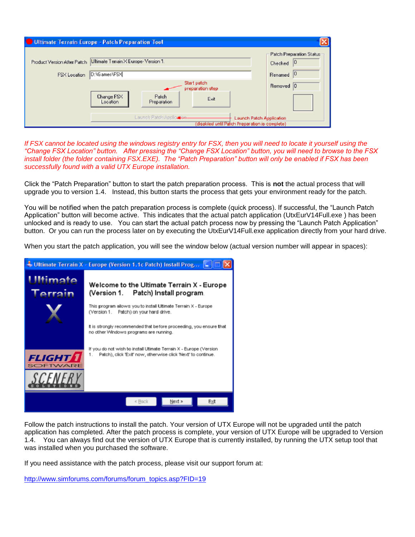| <b>Ultimate Terrain Europe - Patch Preparation Tool</b> |                                                                                                         |                                 |      |                                            |
|---------------------------------------------------------|---------------------------------------------------------------------------------------------------------|---------------------------------|------|--------------------------------------------|
|                                                         | Product Version After Patch Ultimate Terrain X Europe- Version 1.                                       |                                 |      | Patch Preparation Status:<br>10<br>Checked |
| FSX Location                                            | D:\Games\FSX                                                                                            |                                 |      | 10<br>Renamed                              |
|                                                         |                                                                                                         | Start patch<br>preparation step |      | Removed 0                                  |
|                                                         | Change FSX<br>Location                                                                                  | Patch<br>Preparation            | Exit |                                            |
|                                                         | Launch Patch Application<br>Launch Patch Application<br>(disabled until Patch Preparation is complete). |                                 |      |                                            |

If FSX cannot be located using the windows registry entry for FSX, then you will need to locate it yourself using the *"Change FSX Location" button. After pressing the "Change FSX Location" button, you will need to browse to the FSX install folder (the folder containing FSX.EXE). The "Patch Preparation" button will only be enabled if FSX has been successfully found with a valid UTX Europe installation.* 

Click the "Patch Preparation" button to start the patch preparation process. This is **not** the actual process that will upgrade you to version 1.4. Instead, this button starts the process that gets your environment ready for the patch.

You will be notified when the patch preparation process is complete (quick process). If successful, the "Launch Patch Application" button will become active. This indicates that the actual patch application (UtxEurV14Full.exe ) has been unlocked and is ready to use. You can start the actual patch process now by pressing the "Launch Patch Application" button. Or you can run the process later on by executing the UtxEurV14Full.exe application directly from your hard drive.

When you start the patch application, you will see the window below (actual version number will appear in spaces):



Follow the patch instructions to install the patch. Your version of UTX Europe will not be upgraded until the patch application has completed. After the patch process is complete, your version of UTX Europe will be upgraded to Version 1.4. You can always find out the version of UTX Europe that is currently installed, by running the UTX setup tool that was installed when you purchased the software.

If you need assistance with the patch process, please visit our support forum at:

http://www.simforums.com/forums/forum\_topics.asp?FID=19